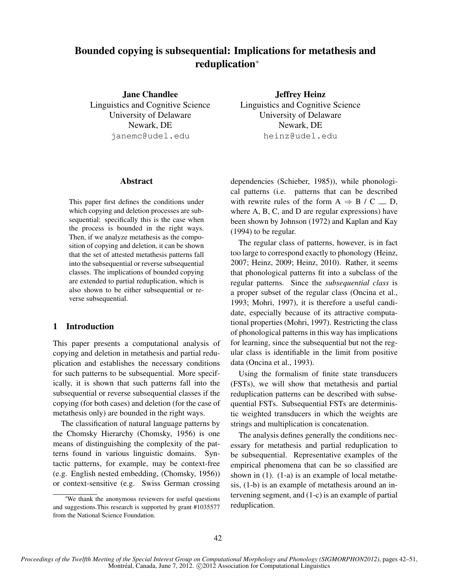# Bounded copying is subsequential: Implications for metathesis and reduplication<sup>∗</sup>

Jane Chandlee Linguistics and Cognitive Science University of Delaware Newark, DE janemc@udel.edu

Jeffrey Heinz Linguistics and Cognitive Science University of Delaware Newark, DE heinz@udel.edu

# Abstract

This paper first defines the conditions under which copying and deletion processes are subsequential: specifically this is the case when the process is bounded in the right ways. Then, if we analyze metathesis as the composition of copying and deletion, it can be shown that the set of attested metathesis patterns fall into the subsequential or reverse subsequential classes. The implications of bounded copying are extended to partial reduplication, which is also shown to be either subsequential or reverse subsequential.

### 1 Introduction

This paper presents a computational analysis of copying and deletion in metathesis and partial reduplication and establishes the necessary conditions for such patterns to be subsequential. More specifically, it is shown that such patterns fall into the subsequential or reverse subsequential classes if the copying (for both cases) and deletion (for the case of metathesis only) are bounded in the right ways.

The classification of natural language patterns by the Chomsky Hierarchy (Chomsky, 1956) is one means of distinguishing the complexity of the patterns found in various linguistic domains. Syntactic patterns, for example, may be context-free (e.g. English nested embedding, (Chomsky, 1956)) or context-sensitive (e.g. Swiss German crossing

dependencies (Schieber, 1985)), while phonological patterns (i.e. patterns that can be described with rewrite rules of the form  $A \Rightarrow B / C \equiv D$ , where A, B, C, and D are regular expressions) have been shown by Johnson (1972) and Kaplan and Kay (1994) to be regular.

The regular class of patterns, however, is in fact too large to correspond exactly to phonology (Heinz, 2007; Heinz, 2009; Heinz, 2010). Rather, it seems that phonological patterns fit into a subclass of the regular patterns. Since the *subsequential class* is a proper subset of the regular class (Oncina et al., 1993; Mohri, 1997), it is therefore a useful candidate, especially because of its attractive computational properties (Mohri, 1997). Restricting the class of phonological patterns in this way has implications for learning, since the subsequential but not the regular class is identifiable in the limit from positive data (Oncina et al., 1993).

Using the formalism of finite state transducers (FSTs), we will show that metathesis and partial reduplication patterns can be described with subsequential FSTs. Subsequential FSTs are deterministic weighted transducers in which the weights are strings and multiplication is concatenation.

The analysis defines generally the conditions necessary for metathesis and partial reduplication to be subsequential. Representative examples of the empirical phenomena that can be so classified are shown in (1). (1-a) is an example of local metathesis, (1-b) is an example of metathesis around an intervening segment, and (1-c) is an example of partial reduplication.

<sup>∗</sup>We thank the anonymous reviewers for useful questions and suggestions.This research is supported by grant #1035577 from the National Science Foundation.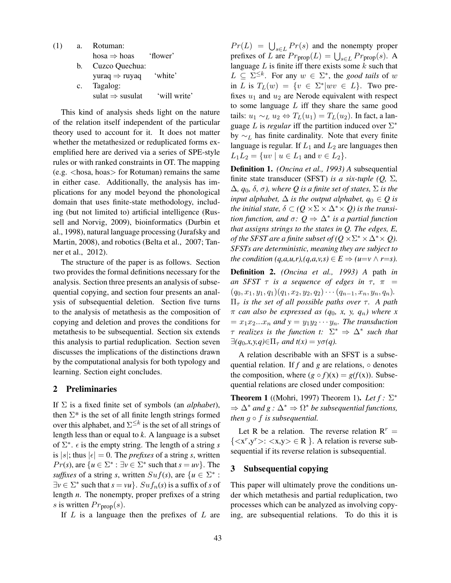| (1) | a.             | Rotuman:                          |              |
|-----|----------------|-----------------------------------|--------------|
|     |                | $hosa \Rightarrow hoas$ 'flower'  |              |
|     |                | b. Cuzco Quechua:                 |              |
|     |                | yuraq $\Rightarrow$ ruyaq 'white' |              |
|     | $\mathbf{c}$ . | Tagalog:                          |              |
|     |                | sulat $\Rightarrow$ susulat       | 'will write' |

This kind of analysis sheds light on the nature of the relation itself independent of the particular theory used to account for it. It does not matter whether the metathesized or reduplicated forms exemplified here are derived via a series of SPE-style rules or with ranked constraints in OT. The mapping  $(e.g. <$ hosa, hoas $>$  for Rotuman) remains the same in either case. Additionally, the analysis has implications for any model beyond the phonological domain that uses finite-state methodology, including (but not limited to) artificial intelligence (Russell and Norvig, 2009), bioinformatics (Durbin et al., 1998), natural language processing (Jurafsky and Martin, 2008), and robotics (Belta et al., 2007; Tanner et al., 2012).

The structure of the paper is as follows. Section two provides the formal definitions necessary for the analysis. Section three presents an analysis of subsequential copying, and section four presents an analysis of subsequential deletion. Section five turns to the analysis of metathesis as the composition of copying and deletion and proves the conditions for metathesis to be subsequential. Section six extends this analysis to partial reduplication. Section seven discusses the implications of the distinctions drawn by the computational analysis for both typology and learning. Section eight concludes.

### 2 Preliminaries

If Σ is a fixed finite set of symbols (an *alphabet*), then  $\Sigma^*$  is the set of all finite length strings formed over this alphabet, and  $\Sigma^{\leq k}$  is the set of all strings of length less than or equal to *k*. A language is a subset of  $\Sigma^*$ .  $\epsilon$  is the empty string. The length of a string *s* is |s|; thus  $|\epsilon| = 0$ . The *prefixes* of a string *s*, written  $Pr(s)$ , are  $\{u \in \Sigma^* : \exists v \in \Sigma^* \text{ such that } s = uv\}$ . The *suffixes* of a string *s*, written  $Suf(s)$ , are  $\{u \in \Sigma^* :$  $\exists v \in \Sigma^*$  such that  $s = vu$ .  $Suf_n(s)$  is a suffix of *s* of length *n*. The nonempty, proper prefixes of a string s is written  $Pr_{\text{prop}}(s)$ .

If  $L$  is a language then the prefixes of  $L$  are

 $Pr(L) = \bigcup_{s \in L} Pr(s)$  and the nonempty proper prefixes of L are  $Pr_{\text{prop}}(L) = \bigcup_{s \in L} Pr_{\text{prop}}(s)$ . A language  $L$  is finite iff there exists some  $k$  such that  $L \subseteq \Sigma^{\leq k}$ . For any  $w \in \Sigma^*$ , the *good tails* of w in L is  $T_L(w) = \{v \in \Sigma^* | wv \in L\}$ . Two prefixes  $u_1$  and  $u_2$  are Nerode equivalent with respect to some language  $L$  iff they share the same good tails:  $u_1 \sim_L u_2 \Leftrightarrow T_L(u_1) = T_L(u_2)$ . In fact, a language L is *regular* iff the partition induced over  $\Sigma^*$ by  $\sim_L$  has finite cardinality. Note that every finite language is regular. If  $L_1$  and  $L_2$  are languages then  $L_1L_2 = \{uv \mid u \in L_1 \text{ and } v \in L_2\}.$ 

Definition 1. *(Oncina et al., 1993) A* subsequential finite state transducer (SFST) *is a six-tuple (Q,* Σ*,*  $\Delta$ *, q*<sub>0</sub>*, δ, σ), where Q is a finite set of states,*  $\Sigma$  *is the input alphabet,*  $\Delta$  *is the output alphabet,*  $q_0 \in Q$  *is the initial state,*  $\delta \subset (Q \times \Sigma \times \Delta^* \times Q)$  *is the transition function, and* σ*: Q* ⇒ ∆<sup>∗</sup> *is a partial function that assigns strings to the states in Q. The edges, E, of the SFST are a finite subset of*  $(Q \times \Sigma^* \times \Delta^* \times Q)$ *. SFSTs are deterministic, meaning they are subject to the condition*  $(q,a,u,r),(q,a,v,s) \in E \Rightarrow (u=v \land r=s)$ .

Definition 2. *(Oncina et al., 1993) A* path *in an SFST*  $\tau$  *is a sequence of edges in*  $\tau$ ,  $\pi$  =  $(q_0, x_1, y_1, q_1)(q_1, x_2, y_2, q_2)\cdots (q_{n-1}, x_n, y_n, q_n).$  $\Pi_{\tau}$  *is the set of all possible paths over*  $\tau$ *. A path*  $\pi$  *can also be expressed as (q<sub>0</sub>, x, y, q<sub>n</sub>) where x*  $= x_1x_2...x_n$  and  $y = y_1y_2 \cdots y_n$ . The transduction  $\tau$  *realizes is the function t:*  $\Sigma^* \Rightarrow \Delta^*$  *such that*  $\exists (q_0, x, y, q) \in \Pi_\tau$  *and*  $t(x) = y\sigma(q)$ .

A relation describable with an SFST is a subsequential relation. If  $f$  and  $g$  are relations,  $\circ$  denotes the composition, where  $(g \circ f)(x) = g(f(x))$ . Subsequential relations are closed under composition:

**Theorem 1** ((Mohri, 1997) Theorem 1). *Let*  $f: \Sigma^*$  $\Rightarrow \Delta^*$  *and*  $g : \Delta^* \Rightarrow \Omega^*$  *be subsequential functions, then*  $g ∘ f$  *is subsequential.* 

Let R be a relation. The reverse relation  $R<sup>r</sup>$  =  $\{\langle x^r, y^r \rangle : \langle x, y \rangle \in \mathbb{R} \}$ . A relation is reverse subsequential if its reverse relation is subsequential.

# 3 Subsequential copying

This paper will ultimately prove the conditions under which metathesis and partial reduplication, two processes which can be analyzed as involving copying, are subsequential relations. To do this it is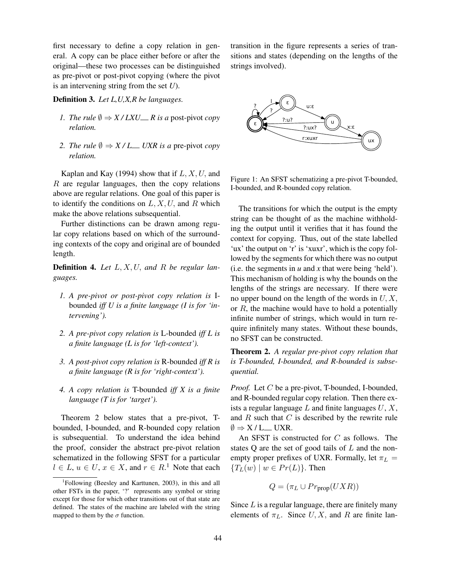first necessary to define a copy relation in general. A copy can be place either before or after the original—these two processes can be distinguished as pre-pivot or post-pivot copying (where the pivot is an intervening string from the set *U*).

Definition 3. *Let L,U,X,R be languages.*

- *1. The rule*  $\emptyset \Rightarrow X/LXU_R$  *R* is a post-pivot *copy relation.*
- *2. The rule*  $\emptyset \Rightarrow X/L$  *UXR is a* pre-pivot *copy relation.*

Kaplan and Kay (1994) show that if  $L, X, U$ , and  $R$  are regular languages, then the copy relations above are regular relations. One goal of this paper is to identify the conditions on  $L, X, U$ , and R which make the above relations subsequential.

Further distinctions can be drawn among regular copy relations based on which of the surrounding contexts of the copy and original are of bounded length.

Definition 4. *Let* L, X, U, *and* R *be regular languages.*

- *1. A pre-pivot or post-pivot copy relation is* Ibounded *iff U is a finite language (I is for 'intervening').*
- *2. A pre-pivot copy relation is* L-bounded *iff L is a finite language (L is for 'left-context').*
- *3. A post-pivot copy relation is* R-bounded *iff R is a finite language (R is for 'right-context').*
- *4. A copy relation is* T-bounded *iff X is a finite language (T is for 'target').*

Theorem 2 below states that a pre-pivot, Tbounded, I-bounded, and R-bounded copy relation is subsequential. To understand the idea behind the proof, consider the abstract pre-pivot relation schematized in the following SFST for a particular  $l \in L$ ,  $u \in U$ ,  $x \in X$ , and  $r \in R$ .<sup>1</sup> Note that each

transition in the figure represents a series of transitions and states (depending on the lengths of the strings involved).



Figure 1: An SFST schematizing a pre-pivot T-bounded, I-bounded, and R-bounded copy relation.

The transitions for which the output is the empty string can be thought of as the machine withholding the output until it verifies that it has found the context for copying. Thus, out of the state labelled 'ux' the output on 'r' is 'xuxr', which is the copy followed by the segments for which there was no output (i.e. the segments in  $u$  and  $x$  that were being 'held'). This mechanism of holding is why the bounds on the lengths of the strings are necessary. If there were no upper bound on the length of the words in  $U, X$ , or  $R$ , the machine would have to hold a potentially infinite number of strings, which would in turn require infinitely many states. Without these bounds, no SFST can be constructed.

Theorem 2. *A regular pre-pivot copy relation that is T-bounded, I-bounded, and R-bounded is subsequential.*

*Proof.* Let C be a pre-pivot, T-bounded, I-bounded, and R-bounded regular copy relation. Then there exists a regular language  $L$  and finite languages  $U, X$ , and  $R$  such that  $C$  is described by the rewrite rule  $\emptyset \Rightarrow X/L$  UXR.

An SFST is constructed for  $C$  as follows. The states  $Q$  are the set of good tails of  $L$  and the nonempty proper prefixes of UXR. Formally, let  $\pi_L$  =  ${T_L(w) \mid w \in Pr(L)}$ . Then

$$
Q = (\pi_L \cup Pr_{\text{prop}}(UXR))
$$

Since  $L$  is a regular language, there are finitely many elements of  $\pi_L$ . Since U, X, and R are finite lan-

<sup>1</sup> Following (Beesley and Karttunen, 2003), in this and all other FSTs in the paper, '?' represents any symbol or string except for those for which other transitions out of that state are defined. The states of the machine are labeled with the string mapped to them by the  $\sigma$  function.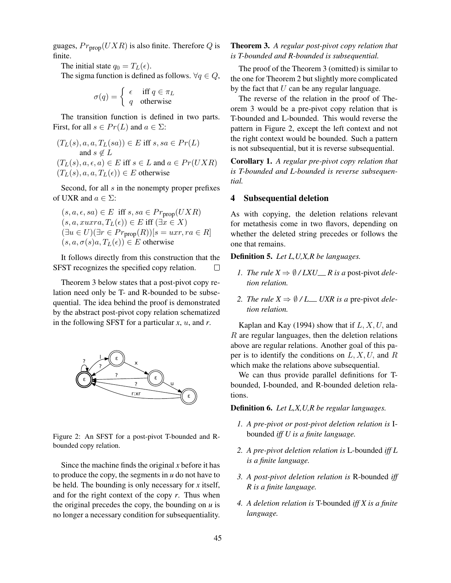guages,  $Pr_{\text{prop}}(UXR)$  is also finite. Therefore Q is finite.

The initial state  $q_0 = T_L(\epsilon)$ .

The sigma function is defined as follows.  $\forall q \in Q$ ,

$$
\sigma(q) = \begin{cases} \epsilon & \text{iff } q \in \pi_L \\ q & \text{otherwise} \end{cases}
$$

The transition function is defined in two parts. First, for all  $s \in Pr(L)$  and  $a \in \Sigma$ :

 $(T_L(s), a, a, T_L(sa)) \in E$  iff  $s, sa \in Pr(L)$ and  $s \notin L$  $(T_L(s), a, \epsilon, a) \in E$  iff  $s \in L$  and  $a \in Pr(UXR)$  $(T_L(s), a, a, T_L(\epsilon)) \in E$  otherwise

Second, for all  $s$  in the nonempty proper prefixes of UXR and  $a \in \Sigma$ :

$$
(s, a, \epsilon, sa) \in E \text{ iff } s, sa \in Pr_{\text{prop}}(UXR)
$$
  

$$
(s, a, xuxra, TL(\epsilon)) \in E \text{ iff } (\exists x \in X)
$$
  

$$
(\exists u \in U)(\exists r \in Pr_{\text{prop}}(R))[s = uxr, ra \in R]
$$
  

$$
(s, a, \sigma(s)a, TL(\epsilon)) \in E \text{ otherwise}
$$

It follows directly from this construction that the SFST recognizes the specified copy relation.  $\Box$ 

Theorem 3 below states that a post-pivot copy relation need only be T- and R-bounded to be subsequential. The idea behind the proof is demonstrated by the abstract post-pivot copy relation schematized in the following SFST for a particular *x*, u, and *r*.



Figure 2: An SFST for a post-pivot T-bounded and Rbounded copy relation.

Since the machine finds the original *x* before it has to produce the copy, the segments in *u* do not have to be held. The bounding is only necessary for *x* itself, and for the right context of the copy *r*. Thus when the original precedes the copy, the bounding on  $u$  is no longer a necessary condition for subsequentiality.

### Theorem 3. *A regular post-pivot copy relation that is T-bounded and R-bounded is subsequential.*

The proof of the Theorem 3 (omitted) is similar to the one for Theorem 2 but slightly more complicated by the fact that  $U$  can be any regular language.

The reverse of the relation in the proof of Theorem 3 would be a pre-pivot copy relation that is T-bounded and L-bounded. This would reverse the pattern in Figure 2, except the left context and not the right context would be bounded. Such a pattern is not subsequential, but it is reverse subsequential.

Corollary 1. *A regular pre-pivot copy relation that is T-bounded and L-bounded is reverse subsequential.*

# 4 Subsequential deletion

As with copying, the deletion relations relevant for metathesis come in two flavors, depending on whether the deleted string precedes or follows the one that remains.

#### Definition 5. *Let L,U,X,R be languages.*

- *1. The rule*  $X \Rightarrow \emptyset / LXU$  *R is a post-pivot deletion relation.*
- 2. *The rule*  $X \Rightarrow \emptyset / L$  *<i>UXR is a* pre-pivot *deletion relation.*

Kaplan and Kay (1994) show that if  $L, X, U$ , and  $R$  are regular languages, then the deletion relations above are regular relations. Another goal of this paper is to identify the conditions on  $L, X, U$ , and R which make the relations above subsequential.

We can thus provide parallel definitions for Tbounded, I-bounded, and R-bounded deletion relations.

Definition 6. *Let L,X,U,R be regular languages.*

- *1. A pre-pivot or post-pivot deletion relation is* Ibounded *iff U is a finite language.*
- *2. A pre-pivot deletion relation is* L-bounded *iff L is a finite language.*
- *3. A post-pivot deletion relation is* R-bounded *iff R is a finite language.*
- *4. A deletion relation is* T-bounded *iff X is a finite language.*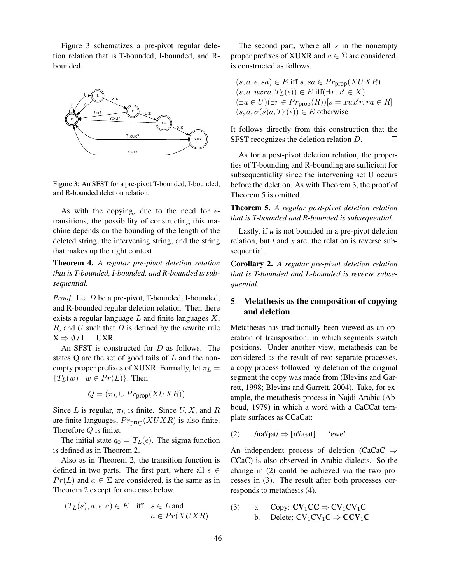Figure 3 schematizes a pre-pivot regular deletion relation that is T-bounded, I-bounded, and Rbounded.



Figure 3: An SFST for a pre-pivot T-bounded, I-bounded, and R-bounded deletion relation.

As with the copying, due to the need for  $\epsilon$ transitions, the possibility of constructing this machine depends on the bounding of the length of the deleted string, the intervening string, and the string that makes up the right context.

Theorem 4. *A regular pre-pivot deletion relation that is T-bounded, I-bounded, and R-bounded is subsequential.*

*Proof.* Let *D* be a pre-pivot, T-bounded, I-bounded, and R-bounded regular deletion relation. Then there exists a regular language  $L$  and finite languages  $X$ ,  $R$ , and  $U$  such that  $D$  is defined by the rewrite rule  $X \Rightarrow \emptyset / L$  UXR.

An SFST is constructed for D as follows. The states  $Q$  are the set of good tails of  $L$  and the nonempty proper prefixes of XUXR. Formally, let  $\pi_L$  =  ${T_L(w) \mid w \in Pr(L)}$ . Then

$$
Q = (\pi_L \cup Pr_{prop}(XUXR))
$$

Since L is regular,  $\pi_L$  is finite. Since U, X, and R are finite languages,  $Pr_{\text{prop}}(XUXR)$  is also finite. Therefore  $Q$  is finite.

The initial state  $q_0 = T_L(\epsilon)$ . The sigma function is defined as in Theorem 2.

Also as in Theorem 2, the transition function is defined in two parts. The first part, where all  $s \in$  $Pr(L)$  and  $a \in \Sigma$  are considered, is the same as in Theorem 2 except for one case below.

$$
(T_L(s), a, \epsilon, a) \in E \quad \text{iff} \quad s \in L \text{ and}
$$

$$
a \in Pr(XUXR)
$$

The second part, where all  $s$  in the nonempty proper prefixes of XUXR and  $a \in \Sigma$  are considered, is constructed as follows.

 $(s, a, \epsilon, sa) \in E$  iff  $s, sa \in Pr_{\text{prop}}(XUXR)$  $(s, a, u xra, T<sub>L</sub>(\epsilon)) \in E$  iff $(\exists x, x' \in X)$  $(\exists u \in U)(\exists r \in Pr_{\text{prop}}(R))[s = xux'r, ra \in R]$  $(s, a, \sigma(s)a, T_{L}(\epsilon)) \in E$  otherwise

It follows directly from this construction that the SFST recognizes the deletion relation D.  $\Box$ 

As for a post-pivot deletion relation, the properties of T-bounding and R-bounding are sufficient for subsequentiality since the intervening set U occurs before the deletion. As with Theorem 3, the proof of Theorem 5 is omitted.

Theorem 5. *A regular post-pivot deletion relation that is T-bounded and R-bounded is subsequential.*

Lastly, if *u* is not bounded in a pre-pivot deletion relation, but *l* and *x* are, the relation is reverse subsequential.

Corollary 2. *A regular pre-pivot deletion relation that is T-bounded and L-bounded is reverse subsequential.*

# 5 Metathesis as the composition of copying and deletion

Metathesis has traditionally been viewed as an operation of transposition, in which segments switch positions. Under another view, metathesis can be considered as the result of two separate processes, a copy process followed by deletion of the original segment the copy was made from (Blevins and Garrett, 1998; Blevins and Garrett, 2004). Take, for example, the metathesis process in Najdi Arabic (Abboud, 1979) in which a word with a CaCCat template surfaces as CCaCat:

(2) /na $\text{rad} \Rightarrow$  [n $\text{rad}$ ] 'ewe'

An independent process of deletion (CaCaC  $\Rightarrow$ CCaC) is also observed in Arabic dialects. So the change in (2) could be achieved via the two processes in (3). The result after both processes corresponds to metathesis (4).

(3) a. Copy:  $CV_1CC \Rightarrow CV_1CV_1C$ b. Delete:  $CV_1CV_1C \Rightarrow CCV_1C$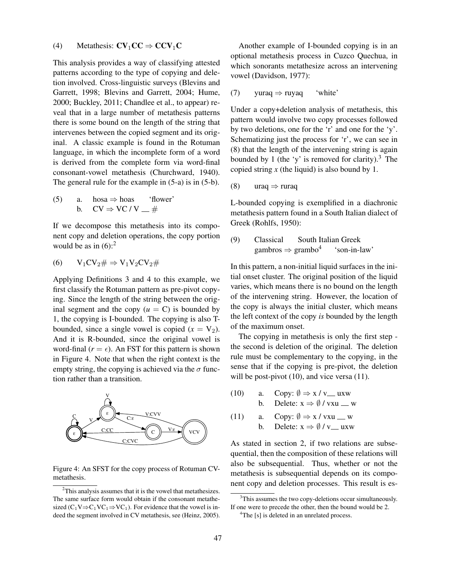# (4) Metathesis:  $CV_1CC \Rightarrow CCV_1C$

This analysis provides a way of classifying attested patterns according to the type of copying and deletion involved. Cross-linguistic surveys (Blevins and Garrett, 1998; Blevins and Garrett, 2004; Hume, 2000; Buckley, 2011; Chandlee et al., to appear) reveal that in a large number of metathesis patterns there is some bound on the length of the string that intervenes between the copied segment and its original. A classic example is found in the Rotuman language, in which the incomplete form of a word is derived from the complete form via word-final consonant-vowel metathesis (Churchward, 1940). The general rule for the example in (5-a) is in (5-b).

(5) a. 
$$
hosa \Rightarrow hoas
$$
 'flower'  
b.  $CV \Rightarrow VC/V = #$ 

If we decompose this metathesis into its component copy and deletion operations, the copy portion would be as in  $(6)$ :<sup>2</sup>

$$
(6) \qquad V_1CV_2\#\Rightarrow V_1V_2CV_2\#
$$

Applying Definitions 3 and 4 to this example, we first classify the Rotuman pattern as pre-pivot copying. Since the length of the string between the original segment and the copy  $(u = C)$  is bounded by 1, the copying is I-bounded. The copying is also Tbounded, since a single vowel is copied  $(x = V_2)$ . And it is R-bounded, since the original vowel is word-final  $(r = \epsilon)$ . An FST for this pattern is shown in Figure 4. Note that when the right context is the empty string, the copying is achieved via the  $\sigma$  function rather than a transition.



Figure 4: An SFST for the copy process of Rotuman CVmetathesis.

Another example of I-bounded copying is in an optional metathesis process in Cuzco Quechua, in which sonorants metathesize across an intervening vowel (Davidson, 1977):

$$
(7) \quad \text{yuraq} \Rightarrow \text{ruya} \quad \text{'white'}
$$

Under a copy+deletion analysis of metathesis, this pattern would involve two copy processes followed by two deletions, one for the 'r' and one for the 'y'. Schematizing just the process for 'r', we can see in (8) that the length of the intervening string is again bounded by 1 (the 'y' is removed for clarity).<sup>3</sup> The copied string  $x$  (the liquid) is also bound by 1.

$$
(8) \quad \text{uraq} \Rightarrow \text{ruraq}
$$

L-bounded copying is exemplified in a diachronic metathesis pattern found in a South Italian dialect of Greek (Rohlfs, 1950):

(9) Classical South Italian Greek  
gambros 
$$
\Rightarrow
$$
 grambo<sup>4</sup> 'son-in-law'

In this pattern, a non-initial liquid surfaces in the initial onset cluster. The original position of the liquid varies, which means there is no bound on the length of the intervening string. However, the location of the copy is always the initial cluster, which means the left context of the copy *is* bounded by the length of the maximum onset.

The copying in metathesis is only the first step the second is deletion of the original. The deletion rule must be complementary to the copying, in the sense that if the copying is pre-pivot, the deletion will be post-pivot (10), and vice versa (11).

- (10) a. Copy:  $\emptyset \Rightarrow x / v$  uxw b. Delete:  $x \Rightarrow \emptyset$  / vxu \_ w
- (11) a. Copy:  $\emptyset \Rightarrow x / v x u = w$ b. Delete:  $x \Rightarrow \emptyset / v$  uxw

As stated in section 2, if two relations are subsequential, then the composition of these relations will also be subsequential. Thus, whether or not the metathesis is subsequential depends on its component copy and deletion processes. This result is es-

 $2$ This analysis assumes that it is the vowel that metathesizes. The same surface form would obtain if the consonant metathesized ( $C_1V \Rightarrow C_1VC_1 \Rightarrow VC_1$ ). For evidence that the vowel is indeed the segment involved in CV metathesis, see (Heinz, 2005).

<sup>&</sup>lt;sup>3</sup>This assumes the two copy-deletions occur simultaneously. If one were to precede the other, then the bound would be 2.

<sup>&</sup>lt;sup>4</sup>The [s] is deleted in an unrelated process.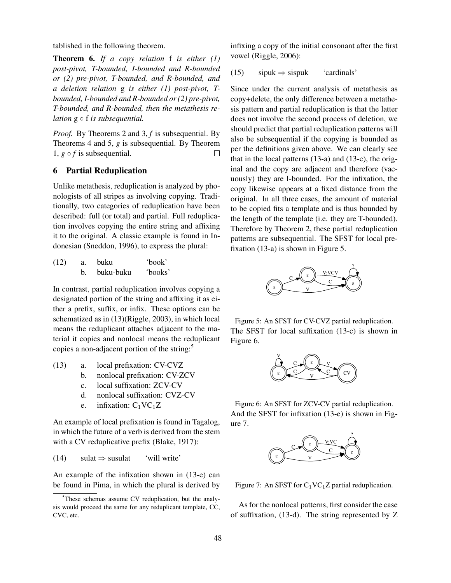tablished in the following theorem.

Theorem 6. *If a copy relation* f *is either (1) post-pivot, T-bounded, I-bounded and R-bounded or (2) pre-pivot, T-bounded, and R-bounded, and a deletion relation* g *is either (1) post-pivot, Tbounded, I-bounded and R-bounded or (2) pre-pivot, T-bounded, and R-bounded, then the metathesis relation* g ◦ f *is subsequential.*

*Proof.* By Theorems 2 and 3, *f* is subsequential. By Theorems 4 and 5, *g* is subsequential. By Theorem 1,  $g \circ f$  is subsequential.  $\Box$ 

### 6 Partial Reduplication

Unlike metathesis, reduplication is analyzed by phonologists of all stripes as involving copying. Traditionally, two categories of reduplication have been described: full (or total) and partial. Full reduplication involves copying the entire string and affixing it to the original. A classic example is found in Indonesian (Sneddon, 1996), to express the plural:

| (12) | buku      | 'book'  |
|------|-----------|---------|
|      | buku-buku | 'books' |

In contrast, partial reduplication involves copying a designated portion of the string and affixing it as either a prefix, suffix, or infix. These options can be schematized as in (13)(Riggle, 2003), in which local means the reduplicant attaches adjacent to the material it copies and nonlocal means the reduplicant copies a non-adjacent portion of the string:<sup>5</sup>

- (13) a. local prefixation: CV-CVZ
	- b. nonlocal prefixation: CV-ZCV
	- c. local suffixation: ZCV-CV
	- d. nonlocal suffixation: CVZ-CV
	- e. infixation:  $C_1VC_1Z$

An example of local prefixation is found in Tagalog, in which the future of a verb is derived from the stem with a CV reduplicative prefix (Blake, 1917):

(14) sulat  $\Rightarrow$  susulat 'will write'

An example of the infixation shown in (13-e) can be found in Pima, in which the plural is derived by infixing a copy of the initial consonant after the first vowel (Riggle, 2006):

(15)  $\text{si} \Rightarrow \text{sis} \times \text{cardinals}'$ 

Since under the current analysis of metathesis as copy+delete, the only difference between a metathesis pattern and partial reduplication is that the latter does not involve the second process of deletion, we should predict that partial reduplication patterns will also be subsequential if the copying is bounded as per the definitions given above. We can clearly see that in the local patterns (13-a) and (13-c), the original and the copy are adjacent and therefore (vacuously) they are I-bounded. For the infixation, the copy likewise appears at a fixed distance from the original. In all three cases, the amount of material to be copied fits a template and is thus bounded by the length of the template (i.e. they are T-bounded). Therefore by Theorem 2, these partial reduplication patterns are subsequential. The SFST for local prefixation (13-a) is shown in Figure 5.



Figure 5: An SFST for CV-CVZ partial reduplication. The SFST for local suffixation (13-c) is shown in Figure 6.



Figure 6: An SFST for ZCV-CV partial reduplication. And the SFST for infixation (13-e) is shown in Figure 7.



Figure 7: An SFST for  $C_1VC_1Z$  partial reduplication.

As for the nonlocal patterns, first consider the case of suffixation, (13-d). The string represented by Z

<sup>5</sup>These schemas assume CV reduplication, but the analysis would proceed the same for any reduplicant template, CC, CVC, etc.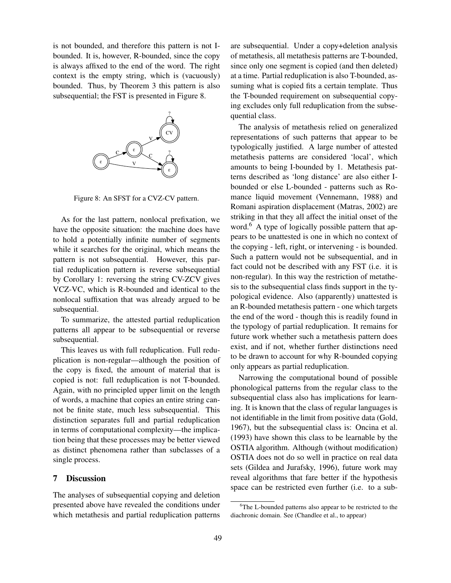is not bounded, and therefore this pattern is not Ibounded. It is, however, R-bounded, since the copy is always affixed to the end of the word. The right context is the empty string, which is (vacuously) bounded. Thus, by Theorem 3 this pattern is also subsequential; the FST is presented in Figure 8.



Figure 8: An SFST for a CVZ-CV pattern.

As for the last pattern, nonlocal prefixation, we have the opposite situation: the machine does have to hold a potentially infinite number of segments while it searches for the original, which means the pattern is not subsequential. However, this partial reduplication pattern is reverse subsequential by Corollary 1: reversing the string CV-ZCV gives VCZ-VC, which is R-bounded and identical to the nonlocal suffixation that was already argued to be subsequential.

To summarize, the attested partial reduplication patterns all appear to be subsequential or reverse subsequential.

This leaves us with full reduplication. Full reduplication is non-regular—although the position of the copy is fixed, the amount of material that is copied is not: full reduplication is not T-bounded. Again, with no principled upper limit on the length of words, a machine that copies an entire string cannot be finite state, much less subsequential. This distinction separates full and partial reduplication in terms of computational complexity—the implication being that these processes may be better viewed as distinct phenomena rather than subclasses of a single process.

# 7 Discussion

The analyses of subsequential copying and deletion presented above have revealed the conditions under which metathesis and partial reduplication patterns are subsequential. Under a copy+deletion analysis of metathesis, all metathesis patterns are T-bounded, since only one segment is copied (and then deleted) at a time. Partial reduplication is also T-bounded, assuming what is copied fits a certain template. Thus the T-bounded requirement on subsequential copying excludes only full reduplication from the subsequential class.

The analysis of metathesis relied on generalized representations of such patterns that appear to be typologically justified. A large number of attested metathesis patterns are considered 'local', which amounts to being I-bounded by 1. Metathesis patterns described as 'long distance' are also either Ibounded or else L-bounded - patterns such as Romance liquid movement (Vennemann, 1988) and Romani aspiration displacement (Matras, 2002) are striking in that they all affect the initial onset of the word.<sup>6</sup> A type of logically possible pattern that appears to be unattested is one in which no context of the copying - left, right, or intervening - is bounded. Such a pattern would not be subsequential, and in fact could not be described with any FST (i.e. it is non-regular). In this way the restriction of metathesis to the subsequential class finds support in the typological evidence. Also (apparently) unattested is an R-bounded metathesis pattern - one which targets the end of the word - though this is readily found in the typology of partial reduplication. It remains for future work whether such a metathesis pattern does exist, and if not, whether further distinctions need to be drawn to account for why R-bounded copying only appears as partial reduplication.

Narrowing the computational bound of possible phonological patterns from the regular class to the subsequential class also has implications for learning. It is known that the class of regular languages is not identifiable in the limit from positive data (Gold, 1967), but the subsequential class is: Oncina et al. (1993) have shown this class to be learnable by the OSTIA algorithm. Although (without modification) OSTIA does not do so well in practice on real data sets (Gildea and Jurafsky, 1996), future work may reveal algorithms that fare better if the hypothesis space can be restricted even further (i.e. to a sub-

<sup>&</sup>lt;sup>6</sup>The L-bounded patterns also appear to be restricted to the diachronic domain. See (Chandlee et al., to appear)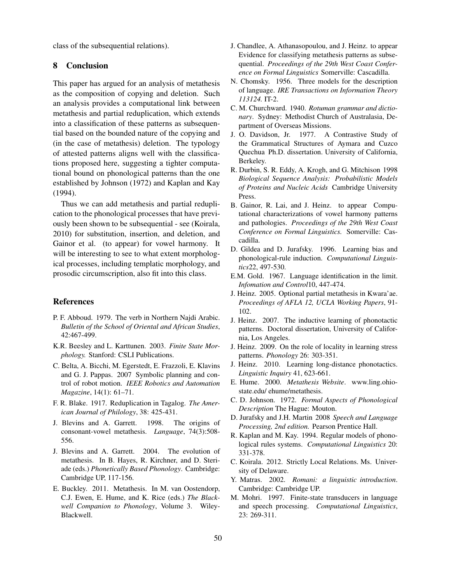class of the subsequential relations).

### 8 Conclusion

This paper has argued for an analysis of metathesis as the composition of copying and deletion. Such an analysis provides a computational link between metathesis and partial reduplication, which extends into a classification of these patterns as subsequential based on the bounded nature of the copying and (in the case of metathesis) deletion. The typology of attested patterns aligns well with the classifications proposed here, suggesting a tighter computational bound on phonological patterns than the one established by Johnson (1972) and Kaplan and Kay (1994).

Thus we can add metathesis and partial reduplication to the phonological processes that have previously been shown to be subsequential - see (Koirala, 2010) for substitution, insertion, and deletion, and Gainor et al. (to appear) for vowel harmony. It will be interesting to see to what extent morphological processes, including templatic morphology, and prosodic circumscription, also fit into this class.

### References

- P. F. Abboud. 1979. The verb in Northern Najdi Arabic. *Bulletin of the School of Oriental and African Studies*, 42:467-499.
- K.R. Beesley and L. Karttunen. 2003. *Finite State Morphology.* Stanford: CSLI Publications.
- C. Belta, A. Bicchi, M. Egerstedt, E. Frazzoli, E. Klavins and G. J. Pappas. 2007 Symbolic planning and control of robot motion. *IEEE Robotics and Automation Magazine*, 14(1): 61–71.
- F. R. Blake. 1917. Reduplication in Tagalog. *The American Journal of Philology*, 38: 425-431.
- J. Blevins and A. Garrett. 1998. The origins of consonant-vowel metathesis. *Language*, 74(3):508- 556.
- J. Blevins and A. Garrett. 2004. The evolution of metathesis. In B. Hayes, R. Kirchner, and D. Steriade (eds.) *Phonetically Based Phonology*. Cambridge: Cambridge UP, 117-156.
- E. Buckley. 2011. Metathesis. In M. van Oostendorp, C.J. Ewen, E. Hume, and K. Rice (eds.) *The Blackwell Companion to Phonology*, Volume 3. Wiley-Blackwell.
- J. Chandlee, A. Athanasopoulou, and J. Heinz. to appear Evidence for classifying metathesis patterns as subsequential. *Proceedings of the 29th West Coast Conference on Formal Linguistics* Somerville: Cascadilla.
- N. Chomsky. 1956. Three models for the description of language. *IRE Transactions on Information Theory 113124.* IT-2.
- C. M. Churchward. 1940. *Rotuman grammar and dictionary*. Sydney: Methodist Church of Australasia, Department of Overseas Missions.
- J. O. Davidson, Jr. 1977. A Contrastive Study of the Grammatical Structures of Aymara and Cuzco Quechua Ph.D. dissertation. University of California, Berkeley.
- R. Durbin, S. R. Eddy, A. Krogh, and G. Mitchison 1998 *Biological Sequence Analysis: Probabilistic Models of Proteins and Nucleic Acids* Cambridge University Press.
- B. Gainor, R. Lai, and J. Heinz. to appear Computational characterizations of vowel harmony patterns and pathologies. *Proceedings of the 29th West Coast Conference on Formal Linguistics.* Somerville: Cascadilla.
- D. Gildea and D. Jurafsky. 1996. Learning bias and phonological-rule induction. *Computational Linguistics*22, 497-530.
- E.M. Gold. 1967. Language identification in the limit. *Infomation and Control*10, 447-474.
- J. Heinz. 2005. Optional partial metathesis in Kwara'ae. *Proceedings of AFLA 12, UCLA Working Papers*, 91- 102.
- J. Heinz. 2007. The inductive learning of phonotactic patterns. Doctoral dissertation, University of California, Los Angeles.
- J. Heinz. 2009. On the role of locality in learning stress patterns. *Phonology* 26: 303-351.
- J. Heinz. 2010. Learning long-distance phonotactics. *Linguistic Inquiry* 41, 623-661.
- E. Hume. 2000. *Metathesis Website*. www.ling.ohiostate.edu/ ehume/metathesis.
- C. D. Johnson. 1972. *Formal Aspects of Phonological Description* The Hague: Mouton.
- D. Jurafsky and J.H. Martin 2008 *Speech and Language Processing, 2nd edition.* Pearson Prentice Hall.
- R. Kaplan and M. Kay. 1994. Regular models of phonological rules systems. *Computational Linguistics* 20: 331-378.
- C. Koirala. 2012. Strictly Local Relations. Ms. University of Delaware.
- Y. Matras. 2002. *Romani: a linguistic introduction*. Cambridge: Cambridge UP.
- M. Mohri. 1997. Finite-state transducers in language and speech processing. *Computational Linguistics*, 23: 269-311.